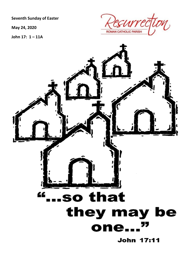**Seventh Sunday of Easter** 

May 24, 2020

John 17: 1-11A



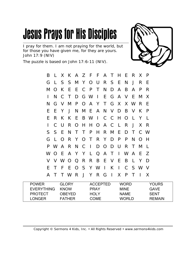I pray for them. I am not praying for the world, but for those you have given me, for they are yours. John 17:9 (NIV)

The puzzle is based on John 17:6-11 (NIV).



| B  | L.             |              | X K A Z F F A T H E R X |     |                         |  |             |     |      |        |         | $\mathsf{P}$ |  |
|----|----------------|--------------|-------------------------|-----|-------------------------|--|-------------|-----|------|--------|---------|--------------|--|
| G  | $\perp$        |              | S S M Y O U R S E N J   |     |                         |  |             |     |      |        | R       | -E           |  |
| M  | $\overline{O}$ | K            | E E C P T N D A B A P   |     |                         |  |             |     |      |        |         | R            |  |
|    | N              | C.           | $\top$                  |     | D G W I E G A V E M     |  |             |     |      |        |         | X            |  |
| N. | G              |              | V M P O A Y T G X X W R |     |                         |  |             |     |      |        |         | -E           |  |
| E. | E              | $\mathsf{Y}$ |                         |     | J N M E A N V D B V K   |  |             |     |      |        |         | $\mathsf{P}$ |  |
| E. | R.             |              | K K E B W I C C H O L   |     |                         |  |             |     |      |        | Y       | $\mathbf{L}$ |  |
|    |                | $C$ U        |                         |     | R O H H O A C L R J X   |  |             |     |      |        |         | - R          |  |
|    | S S E          |              |                         | N T | T P                     |  | H R M E     |     |      |        | D T C W |              |  |
| G  | $\perp$        |              | O R Y O T R Y D P       |     |                         |  |             |     |      |        | P N O H |              |  |
|    |                |              | P W A R N C I           |     |                         |  | D O D U R T |     |      |        | M       | $\perp$      |  |
|    |                |              | WOEAYYLQAT              |     |                         |  |             |     | IWAE |        |         | Z            |  |
|    |                |              | V V W O Q R R B E V E   |     |                         |  |             |     | B L  |        | Y       | - D          |  |
| E. | T              | F            |                         |     | E O S Y W I K I C S W V |  |             |     |      |        |         |              |  |
| A  | T.             |              | T W R J Y R G I         |     |                         |  |             | X P |      | $\top$ |         | X            |  |
|    |                |              |                         |     |                         |  |             |     |      |        |         |              |  |

| <b>POWER</b>      | GI ORY      | <b>ACCEPTED</b> | <b>WORD</b> | YOURS       |
|-------------------|-------------|-----------------|-------------|-------------|
| <b>FVERYTHING</b> | <b>KNOW</b> | PRAY            | MINF        | GAVE        |
| <b>PROTECT</b>    | OBEYED      | HOL Y           | <b>NAME</b> | <b>SENT</b> |
| LONGER            | FATHER      | COME            | WORI D      | REMAIN      |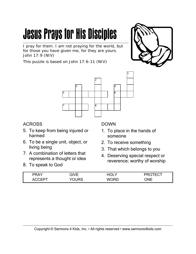I pray for them. I am not praying for the world, but for those you have given me, for they are yours. John 17:9 (NIV)

This puzzle is based on John 17:6-11 (NIV)





#### ACROSS

- 5. To keep from being injured or harmed
- 6. To be a single unit, object, or living being
- 7. A combination of letters that represents a thought or idea
- 8. To speak to God

#### DOWN

- 1. To place in the hands of someone
- 2. To receive something
- 3. That which belongs to you
- 4. Deserving special respect or reverence; worthy of worship

| PRAY         | ח/ יור                | ור       |            |
|--------------|-----------------------|----------|------------|
| $\sqrt{ }$   |                       | 1 J L I  | v.         |
| $\mathbf{v}$ | $H_{\rm{H}}$<br>טו וט | wc<br>םר | <b>CNE</b> |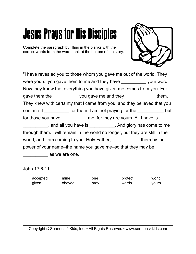Complete the paragraph by filling in the blanks with the correct words from the word bank at the bottom of the story.



"I have revealed you to those whom you gave me out of the world. They were yours; you gave them to me and they have your word. Now they know that everything you have given me comes from you. For I gave them the \_\_\_\_\_\_\_\_\_\_\_ you gave me and they \_\_\_\_\_\_\_\_\_\_\_\_\_\_\_ them. They knew with certainty that I came from you, and they believed that you sent me. I \_\_\_\_\_\_\_\_\_\_\_ for them. I am not praying for the \_\_\_\_\_\_\_\_\_\_, but for those you have \_\_\_\_\_\_\_\_\_\_\_\_ me, for they are yours. All I have is , and all you have is ended and glory has come to me through them. I will remain in the world no longer, but they are still in the world, and I am coming to you. Holy Father, them by the power of your name—the name you gave me—so that they may be  $\overline{a}$  as we are one.

John 17:6-11

| accepted | mıne   | one  | protect | world |
|----------|--------|------|---------|-------|
| given    | obeyed | prav | words   | yours |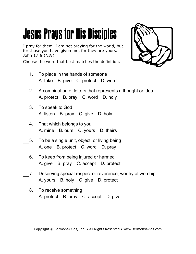I pray for them. I am not praying for the world, but for those you have given me, for they are yours. John 17:9 (NIV)

Choose the word that best matches the definition.

1. To place in the hands of someone A. take B. give C. protect D. word



- 2. A combination of letters that represents a thought or idea A. protect B. pray C. word D. holy
- 3. To speak to God A. listen B. pray C. give D. holy
- 4. That which belongs to you A. mine B. ours C. yours D. theirs
- 5. To be a single unit, object, or living being A. one B. protect C. word D. pray
- 6. To keep from being injured or harmed A. give B. pray C. accept D. protect
- 7. Deserving special respect or reverence; worthy of worship A. yours B. holy C. give D. protect
- 8. To receive something A. protect B. pray C. accept D. give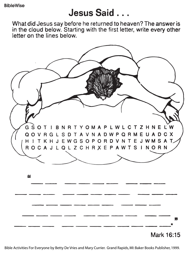### Jesus Said...

What did Jesus say before he returned to heaven? The answer is in the cloud below. Starting with the first letter, write every other letter on the lines below.



Bible Activities For Everyone by Betty De Vries and Mary Currier. Grand Rapids, MI: Baker Books Publisher, 1999.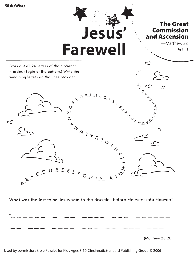

Cross out all 26 letters of the alphabet in order. (Begin at the bottom.) Write the remaining letters on the lines provided.



What was the last thing Jesus said to the disciples before He went into Heaven?

| $^{\prime}$ |  |  |  |
|-------------|--|--|--|
|             |  |  |  |



Used by permission: Bible Puzzles for Kids Ages 8-10. Cincinnati: Standard Publishing Group, © 2006